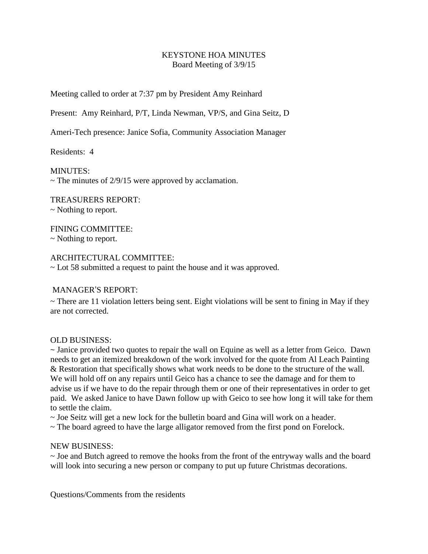## KEYSTONE HOA MINUTES Board Meeting of 3/9/15

Meeting called to order at 7:37 pm by President Amy Reinhard

Present: Amy Reinhard, P/T, Linda Newman, VP/S, and Gina Seitz, D

Ameri-Tech presence: Janice Sofia, Community Association Manager

Residents: 4

MINUTES:  $\sim$  The minutes of 2/9/15 were approved by acclamation.

TREASURERS REPORT: ~ Nothing to report.

FINING COMMITTEE: ~ Nothing to report.

## ARCHITECTURAL COMMITTEE:

~ Lot 58 submitted a request to paint the house and it was approved.

# MANAGER'S REPORT:

 $\sim$  There are 11 violation letters being sent. Eight violations will be sent to fining in May if they are not corrected.

## OLD BUSINESS:

~ Janice provided two quotes to repair the wall on Equine as well as a letter from Geico. Dawn needs to get an itemized breakdown of the work involved for the quote from Al Leach Painting & Restoration that specifically shows what work needs to be done to the structure of the wall. We will hold off on any repairs until Geico has a chance to see the damage and for them to advise us if we have to do the repair through them or one of their representatives in order to get paid. We asked Janice to have Dawn follow up with Geico to see how long it will take for them to settle the claim.

 $\sim$  Joe Seitz will get a new lock for the bulletin board and Gina will work on a header.

~ The board agreed to have the large alligator removed from the first pond on Forelock.

## NEW BUSINESS:

~ Joe and Butch agreed to remove the hooks from the front of the entryway walls and the board will look into securing a new person or company to put up future Christmas decorations.

Questions/Comments from the residents